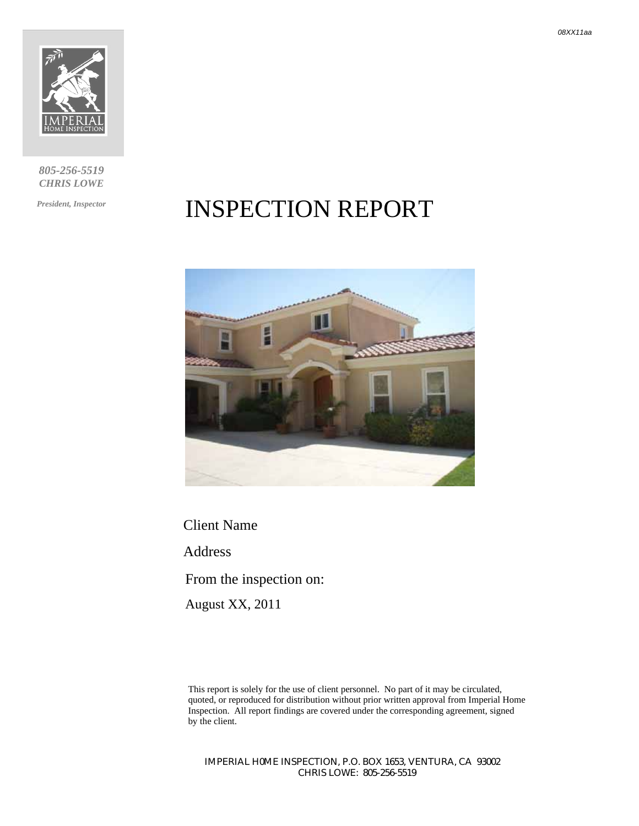

*805-256-5519 CHRIS LOWE* 

*President, Inspector* 

# INSPECTION REPORT



Client Name Address From the inspection on: August XX, 2011

This report is solely for the use of client personnel. No part of it may be circulated, quoted, or reproduced for distribution without prior written approval from Imperial Home Inspection. All report findings are covered under the corresponding agreement, signed by the client.

*IMPERIAL H0ME INSPECTION, P.O. BOX 1653, VENTURA, CA 93002 CHRIS LOWE: 805-256-5519*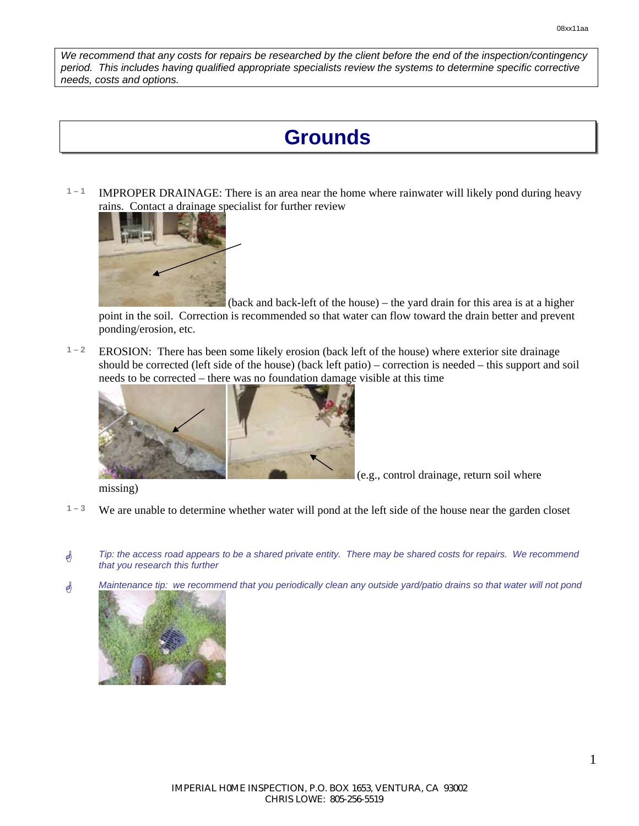*We recommend that any costs for repairs be researched by the client before the end of the inspection/contingency period. This includes having qualified appropriate specialists review the systems to determine specific corrective needs, costs and options.* 

## **Grounds**

**1 – 1** IMPROPER DRAINAGE: There is an area near the home where rainwater will likely pond during heavy rains. Contact a drainage specialist for further review



 (back and back-left of the house) – the yard drain for this area is at a higher point in the soil. Correction is recommended so that water can flow toward the drain better and prevent ponding/erosion, etc.

**1 – 2** EROSION: There has been some likely erosion (back left of the house) where exterior site drainage should be corrected (left side of the house) (back left patio) – correction is needed – this support and soil needs to be corrected – there was no foundation damage visible at this time



(e.g., control drainage, return soil where

missing)

- **1 3** We are unable to determine whether water will pond at the left side of the house near the garden closet
- \* *Tip: the access road appears to be a shared private entity. There may be shared costs for repairs. We recommend that you research this further*
- \* *Maintenance tip: we recommend that you periodically clean any outside yard/patio drains so that water will not pond*

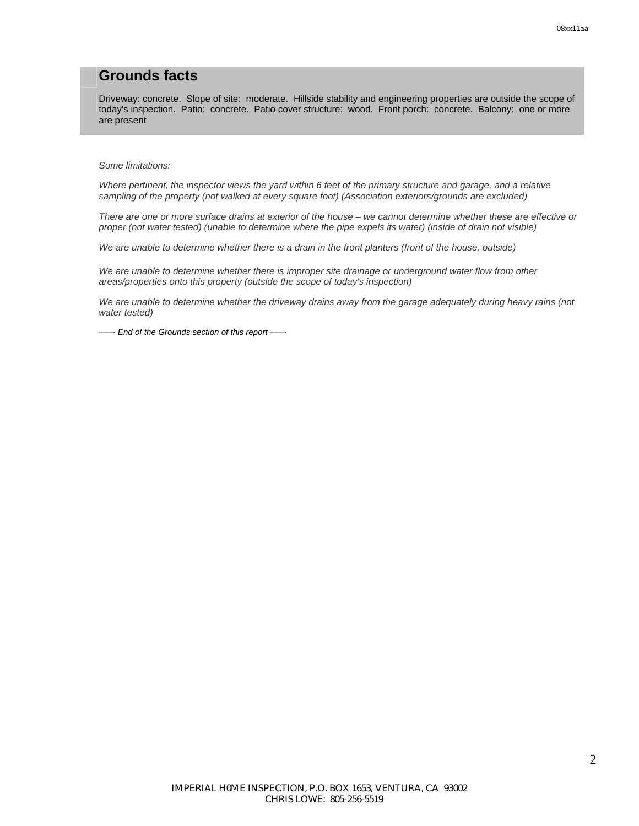#### **Grounds facts**

Driveway: concrete. Slope of site: moderate. Hillside stability and engineering properties are outside the scope of today's inspection. Patio: concrete. Patio cover structure: wood. Front porch: concrete. Balcony: one or more are present

*Some limitations:* 

*Where pertinent, the inspector views the yard within 6 feet of the primary structure and garage, and a relative sampling of the property (not walked at every square foot) (Association exteriors/grounds are excluded)* 

*There are one or more surface drains at exterior of the house – we cannot determine whether these are effective or proper (not water tested) (unable to determine where the pipe expels its water) (inside of drain not visible)* 

*We are unable to determine whether there is a drain in the front planters (front of the house, outside)* 

*We are unable to determine whether there is improper site drainage or underground water flow from other areas/properties onto this property (outside the scope of today's inspection)* 

*We are unable to determine whether the driveway drains away from the garage adequately during heavy rains (not water tested)* 

*–––- End of the Grounds section of this report –––-*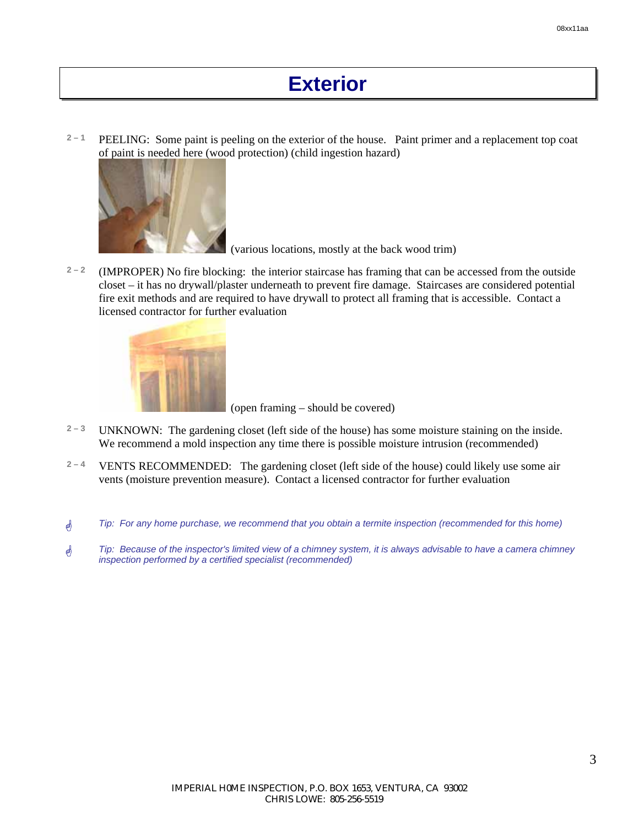## **Exterior**

**2 – 1** PEELING: Some paint is peeling on the exterior of the house. Paint primer and a replacement top coat of paint is needed here (wood protection) (child ingestion hazard)



(various locations, mostly at the back wood trim)

 $2<sup>2</sup>$  (IMPROPER) No fire blocking: the interior staircase has framing that can be accessed from the outside closet – it has no drywall/plaster underneath to prevent fire damage. Staircases are considered potential fire exit methods and are required to have drywall to protect all framing that is accessible. Contact a licensed contractor for further evaluation



(open framing – should be covered)

- **2 3** UNKNOWN: The gardening closet (left side of the house) has some moisture staining on the inside. We recommend a mold inspection any time there is possible moisture intrusion (recommended)
- **2 4** VENTS RECOMMENDED: The gardening closet (left side of the house) could likely use some air vents (moisture prevention measure). Contact a licensed contractor for further evaluation
- \* *Tip: For any home purchase, we recommend that you obtain a termite inspection (recommended for this home)*
- \* *Tip: Because of the inspector's limited view of a chimney system, it is always advisable to have a camera chimney inspection performed by a certified specialist (recommended)*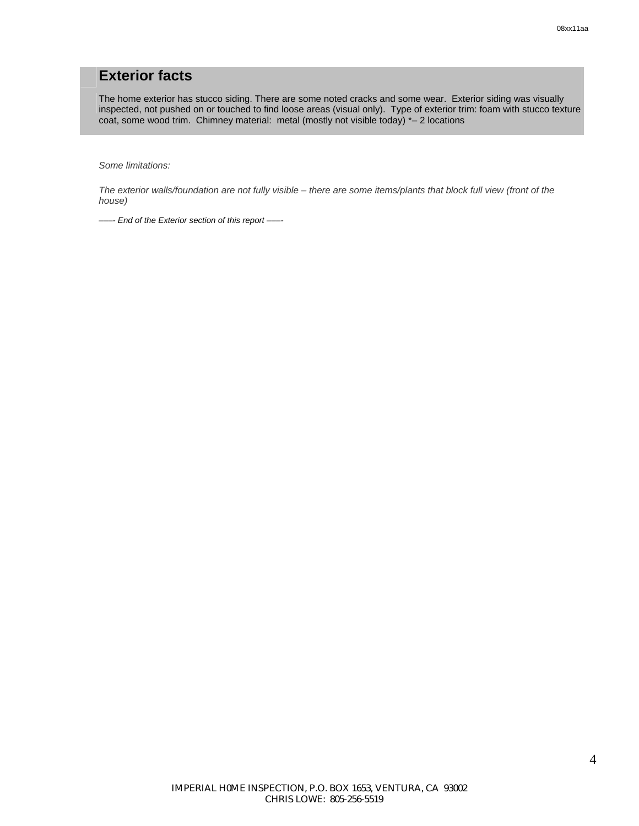### **Exterior facts**

The home exterior has stucco siding. There are some noted cracks and some wear. Exterior siding was visually inspected, not pushed on or touched to find loose areas (visual only). Type of exterior trim: foam with stucco texture coat, some wood trim. Chimney material: metal (mostly not visible today) \*– 2 locations

*Some limitations:* 

*The exterior walls/foundation are not fully visible – there are some items/plants that block full view (front of the house)* 

*–––- End of the Exterior section of this report –––-*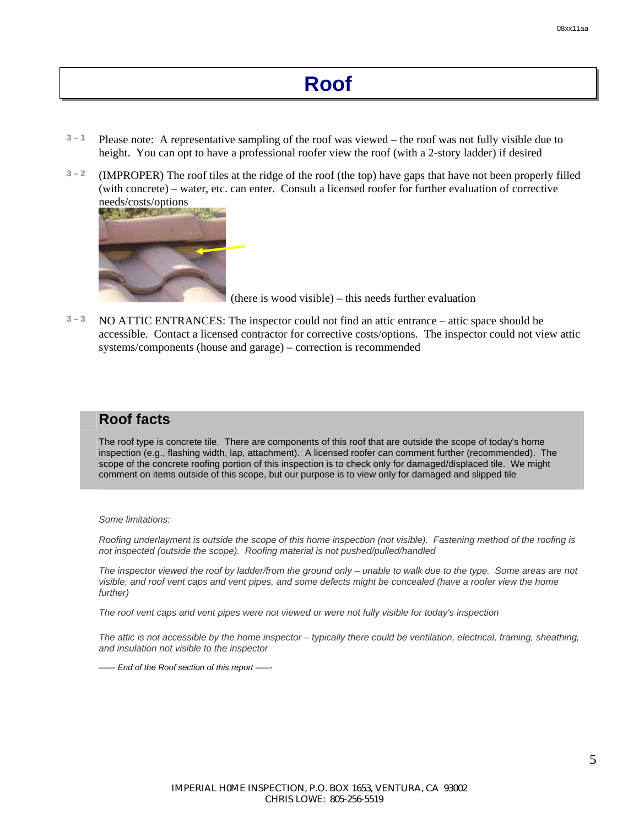- $3 1$  Please note: A representative sampling of the roof was viewed the roof was not fully visible due to height. You can opt to have a professional roofer view the roof (with a 2-story ladder) if desired
- **3 2** (IMPROPER) The roof tiles at the ridge of the roof (the top) have gaps that have not been properly filled (with concrete) – water, etc. can enter. Consult a licensed roofer for further evaluation of corrective



(there is wood visible) – this needs further evaluation

**3 – 3** NO ATTIC ENTRANCES: The inspector could not find an attic entrance – attic space should be accessible. Contact a licensed contractor for corrective costs/options. The inspector could not view attic systems/components (house and garage) – correction is recommended

### **Roof facts**

The roof type is concrete tile. There are components of this roof that are outside the scope of today's home inspection (e.g., flashing width, lap, attachment). A licensed roofer can comment further (recommended). The scope of the concrete roofing portion of this inspection is to check only for damaged/displaced tile. We might comment on items outside of this scope, but our purpose is to view only for damaged and slipped tile

*Some limitations:* 

*Roofing underlayment is outside the scope of this home inspection (not visible). Fastening method of the roofing is not inspected (outside the scope). Roofing material is not pushed/pulled/handled* 

*The inspector viewed the roof by ladder/from the ground only – unable to walk due to the type. Some areas are not visible, and roof vent caps and vent pipes, and some defects might be concealed (have a roofer view the home further)* 

*The roof vent caps and vent pipes were not viewed or were not fully visible for today's inspection* 

*The attic is not accessible by the home inspector – typically there could be ventilation, electrical, framing, sheathing, and insulation not visible to the inspector* 

*–––- End of the Roof section of this report –––-*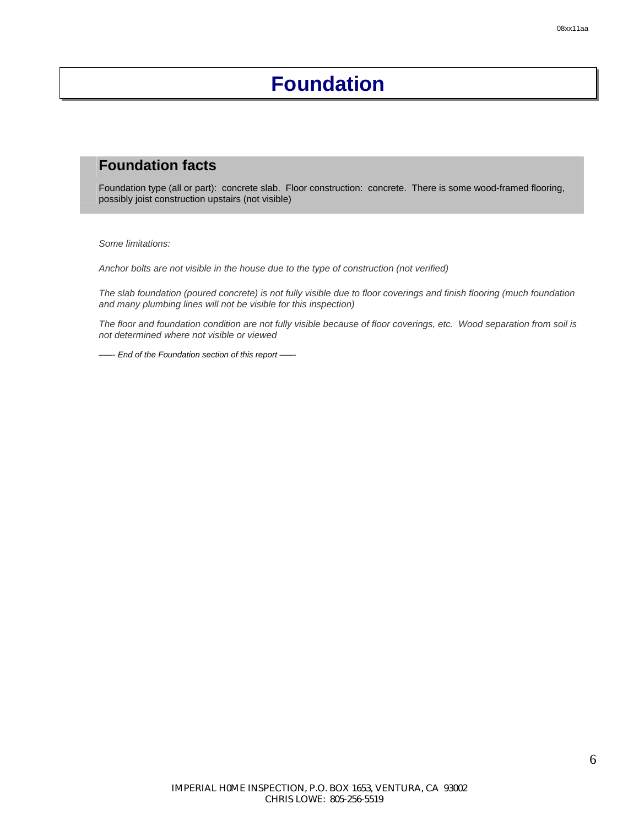# **Foundation**

### **Foundation facts**

Foundation type (all or part): concrete slab. Floor construction: concrete. There is some wood-framed flooring, possibly joist construction upstairs (not visible)

*Some limitations:* 

*Anchor bolts are not visible in the house due to the type of construction (not verified)* 

*The slab foundation (poured concrete) is not fully visible due to floor coverings and finish flooring (much foundation and many plumbing lines will not be visible for this inspection)* 

*The floor and foundation condition are not fully visible because of floor coverings, etc. Wood separation from soil is not determined where not visible or viewed* 

*–––- End of the Foundation section of this report –––-*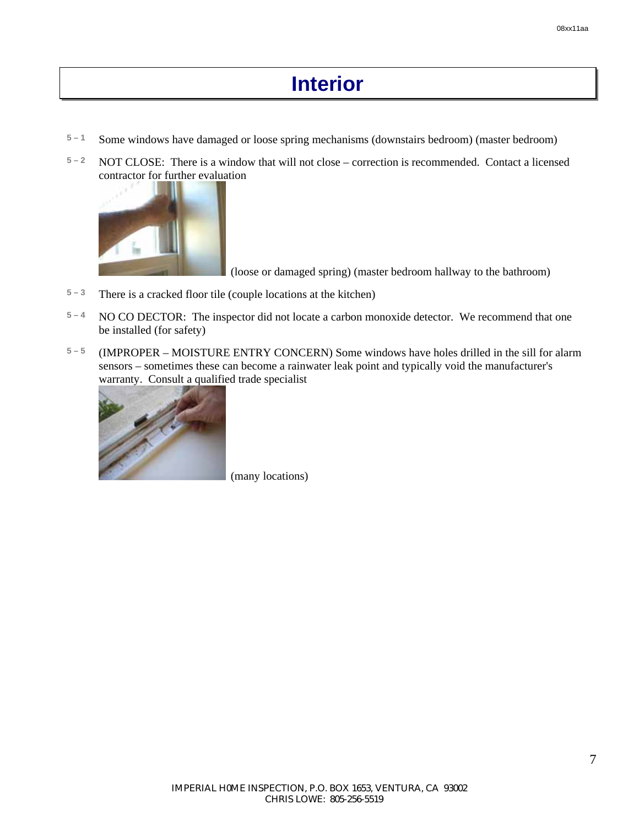# **Interior**

- **5 1** Some windows have damaged or loose spring mechanisms (downstairs bedroom) (master bedroom)
- **5 2** NOT CLOSE: There is a window that will not close correction is recommended. Contact a licensed contractor for further evaluation



(loose or damaged spring) (master bedroom hallway to the bathroom)

- $5 3$  There is a cracked floor tile (couple locations at the kitchen)
- **5 4** NO CO DECTOR: The inspector did not locate a carbon monoxide detector. We recommend that one be installed (for safety)
- **5 5** (IMPROPER MOISTURE ENTRY CONCERN) Some windows have holes drilled in the sill for alarm sensors – sometimes these can become a rainwater leak point and typically void the manufacturer's warranty. Consult a qualified trade specialist



(many locations)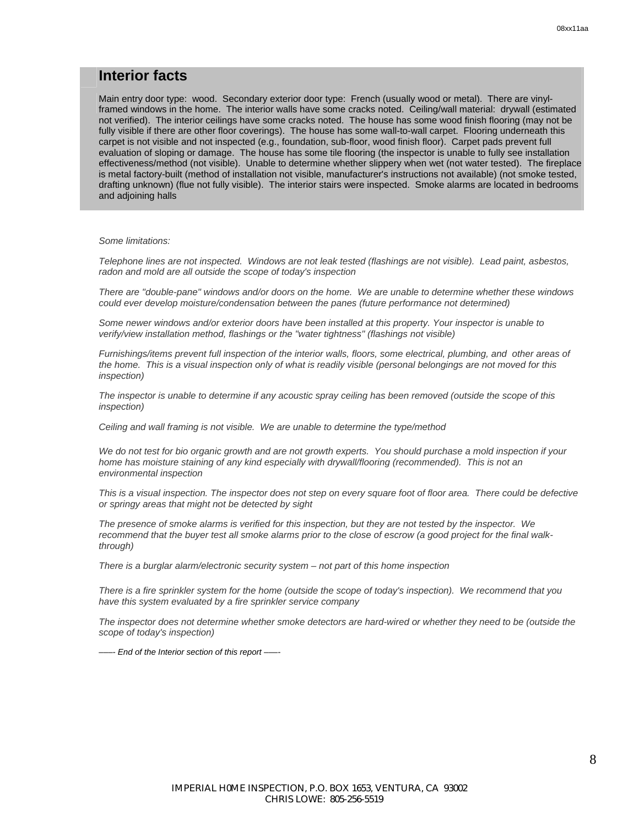#### **Interior facts**

Main entry door type: wood. Secondary exterior door type: French (usually wood or metal). There are vinylframed windows in the home. The interior walls have some cracks noted. Ceiling/wall material: drywall (estimated not verified). The interior ceilings have some cracks noted. The house has some wood finish flooring (may not be fully visible if there are other floor coverings). The house has some wall-to-wall carpet. Flooring underneath this carpet is not visible and not inspected (e.g., foundation, sub-floor, wood finish floor). Carpet pads prevent full evaluation of sloping or damage. The house has some tile flooring (the inspector is unable to fully see installation effectiveness/method (not visible). Unable to determine whether slippery when wet (not water tested). The fireplace is metal factory-built (method of installation not visible, manufacturer's instructions not available) (not smoke tested, drafting unknown) (flue not fully visible). The interior stairs were inspected. Smoke alarms are located in bedrooms and adjoining halls

#### *Some limitations:*

*Telephone lines are not inspected. Windows are not leak tested (flashings are not visible). Lead paint, asbestos, radon and mold are all outside the scope of today's inspection* 

*There are "double-pane" windows and/or doors on the home. We are unable to determine whether these windows could ever develop moisture/condensation between the panes (future performance not determined)* 

*Some newer windows and/or exterior doors have been installed at this property. Your inspector is unable to verify/view installation method, flashings or the "water tightness" (flashings not visible)* 

*Furnishings/items prevent full inspection of the interior walls, floors, some electrical, plumbing, and other areas of the home. This is a visual inspection only of what is readily visible (personal belongings are not moved for this inspection)* 

*The inspector is unable to determine if any acoustic spray ceiling has been removed (outside the scope of this inspection)* 

*Ceiling and wall framing is not visible. We are unable to determine the type/method* 

*We do not test for bio organic growth and are not growth experts. You should purchase a mold inspection if your home has moisture staining of any kind especially with drywall/flooring (recommended). This is not an environmental inspection* 

*This is a visual inspection. The inspector does not step on every square foot of floor area. There could be defective or springy areas that might not be detected by sight* 

*The presence of smoke alarms is verified for this inspection, but they are not tested by the inspector. We recommend that the buyer test all smoke alarms prior to the close of escrow (a good project for the final walkthrough)* 

*There is a burglar alarm/electronic security system – not part of this home inspection* 

*There is a fire sprinkler system for the home (outside the scope of today's inspection). We recommend that you have this system evaluated by a fire sprinkler service company* 

*The inspector does not determine whether smoke detectors are hard-wired or whether they need to be (outside the scope of today's inspection)* 

*–––- End of the Interior section of this report –––-*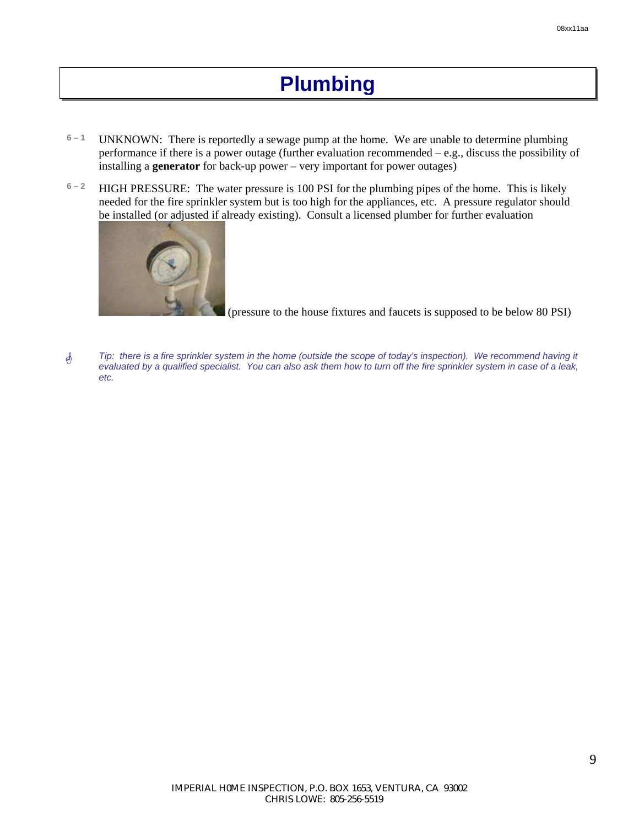# **Plumbing**

- **6 1** UNKNOWN: There is reportedly a sewage pump at the home. We are unable to determine plumbing performance if there is a power outage (further evaluation recommended – e.g., discuss the possibility of installing a **generator** for back-up power – very important for power outages)
- **6 2** HIGH PRESSURE: The water pressure is 100 PSI for the plumbing pipes of the home. This is likely needed for the fire sprinkler system but is too high for the appliances, etc. A pressure regulator should be installed (or adjusted if already existing). Consult a licensed plumber for further evaluation



(pressure to the house fixtures and faucets is supposed to be below 80 PSI)

\* *Tip: there is a fire sprinkler system in the home (outside the scope of today's inspection). We recommend having it evaluated by a qualified specialist. You can also ask them how to turn off the fire sprinkler system in case of a leak, etc.*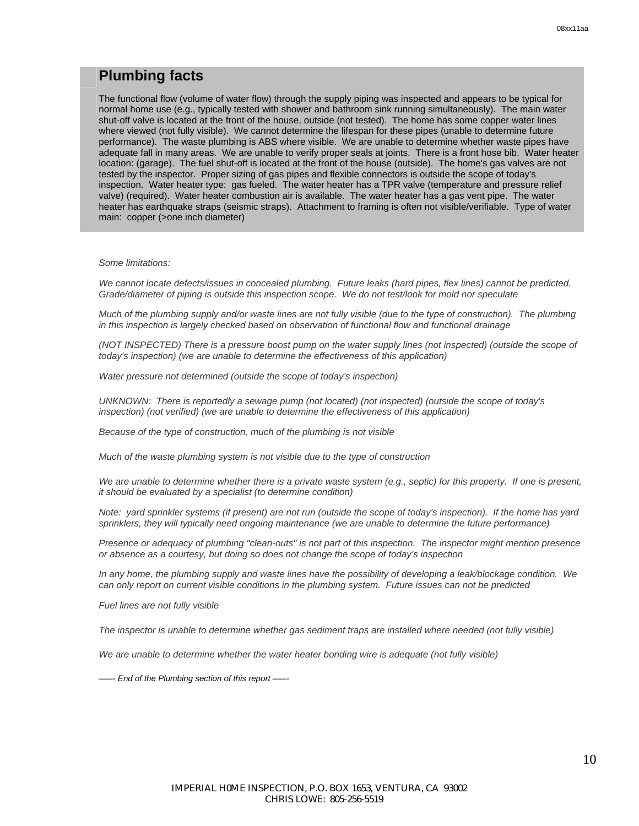### **Plumbing facts**

The functional flow (volume of water flow) through the supply piping was inspected and appears to be typical for normal home use (e.g., typically tested with shower and bathroom sink running simultaneously). The main water shut-off valve is located at the front of the house, outside (not tested). The home has some copper water lines where viewed (not fully visible). We cannot determine the lifespan for these pipes (unable to determine future performance). The waste plumbing is ABS where visible. We are unable to determine whether waste pipes have adequate fall in many areas. We are unable to verify proper seals at joints. There is a front hose bib. Water heater location: (garage). The fuel shut-off is located at the front of the house (outside). The home's gas valves are not tested by the inspector. Proper sizing of gas pipes and flexible connectors is outside the scope of today's inspection. Water heater type: gas fueled. The water heater has a TPR valve (temperature and pressure relief valve) (required). Water heater combustion air is available. The water heater has a gas vent pipe. The water heater has earthquake straps (seismic straps). Attachment to framing is often not visible/verifiable. Type of water main: copper (>one inch diameter)

#### *Some limitations:*

We cannot locate defects/issues in concealed plumbing. Future leaks (hard pipes, flex lines) cannot be predicted. *Grade/diameter of piping is outside this inspection scope. We do not test/look for mold nor speculate* 

*Much of the plumbing supply and/or waste lines are not fully visible (due to the type of construction). The plumbing in this inspection is largely checked based on observation of functional flow and functional drainage* 

*(NOT INSPECTED) There is a pressure boost pump on the water supply lines (not inspected) (outside the scope of today's inspection) (we are unable to determine the effectiveness of this application)* 

*Water pressure not determined (outside the scope of today's inspection)* 

*UNKNOWN: There is reportedly a sewage pump (not located) (not inspected) (outside the scope of today's inspection)* (not verified) (we are unable to determine the effectiveness of this application)

*Because of the type of construction, much of the plumbing is not visible* 

*Much of the waste plumbing system is not visible due to the type of construction* 

We are unable to determine whether there is a private waste system (e.g., septic) for this property. If one is present, *it should be evaluated by a specialist (to determine condition)* 

*Note: yard sprinkler systems (if present) are not run (outside the scope of today's inspection). If the home has yard*  sprinklers, they will typically need ongoing maintenance (we are unable to determine the future performance)

*Presence or adequacy of plumbing "clean-outs" is not part of this inspection. The inspector might mention presence or absence as a courtesy, but doing so does not change the scope of today's inspection* 

*In any home, the plumbing supply and waste lines have the possibility of developing a leak/blockage condition. We can only report on current visible conditions in the plumbing system. Future issues can not be predicted* 

*Fuel lines are not fully visible* 

The inspector is unable to determine whether gas sediment traps are installed where needed (not fully visible)

We are unable to determine whether the water heater bonding wire is adequate (not fully visible)

*–––- End of the Plumbing section of this report –––-*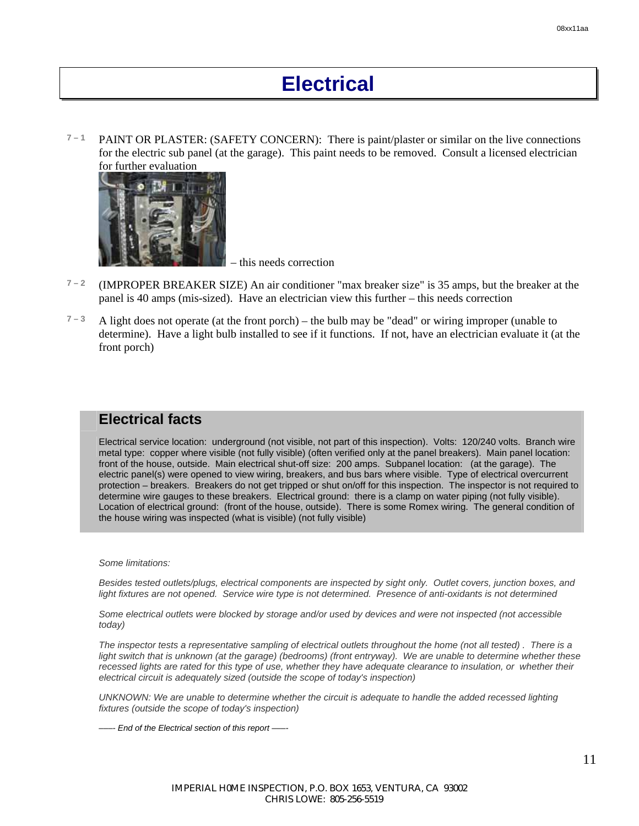# **Electrical**

 $7 - 1$  **PAINT OR PLASTER: (SAFETY CONCERN):** There is paint/plaster or similar on the live connections for the electric sub panel (at the garage). This paint needs to be removed. Consult a licensed electrician for further evaluation



– this needs correction

- $7 2$  (IMPROPER BREAKER SIZE) An air conditioner "max breaker size" is 35 amps, but the breaker at the panel is 40 amps (mis-sized). Have an electrician view this further – this needs correction
- **7 3** A light does not operate (at the front porch) the bulb may be "dead" or wiring improper (unable to determine). Have a light bulb installed to see if it functions. If not, have an electrician evaluate it (at the front porch)

#### **Electrical facts**

Electrical service location: underground (not visible, not part of this inspection). Volts: 120/240 volts. Branch wire metal type: copper where visible (not fully visible) (often verified only at the panel breakers). Main panel location: front of the house, outside. Main electrical shut-off size: 200 amps. Subpanel location: (at the garage). The electric panel(s) were opened to view wiring, breakers, and bus bars where visible. Type of electrical overcurrent protection – breakers. Breakers do not get tripped or shut on/off for this inspection. The inspector is not required to determine wire gauges to these breakers. Electrical ground: there is a clamp on water piping (not fully visible). Location of electrical ground: (front of the house, outside). There is some Romex wiring. The general condition of the house wiring was inspected (what is visible) (not fully visible)

*Some limitations:* 

*Besides tested outlets/plugs, electrical components are inspected by sight only. Outlet covers, junction boxes, and light fixtures are not opened.* Service wire type is not determined. Presence of anti-oxidants is not determined

*Some electrical outlets were blocked by storage and/or used by devices and were not inspected (not accessible today)* 

*The inspector tests a representative sampling of electrical outlets throughout the home (not all tested) . There is a light switch that is unknown (at the garage) (bedrooms) (front entryway). We are unable to determine whether these* recessed lights are rated for this type of use, whether they have adequate clearance to insulation, or whether their *electrical circuit is adequately sized (outside the scope of today's inspection)* 

*UNKNOWN: We are unable to determine whether the circuit is adequate to handle the added recessed lighting fixtures (outside the scope of today's inspection)* 

*–––- End of the Electrical section of this report –––-*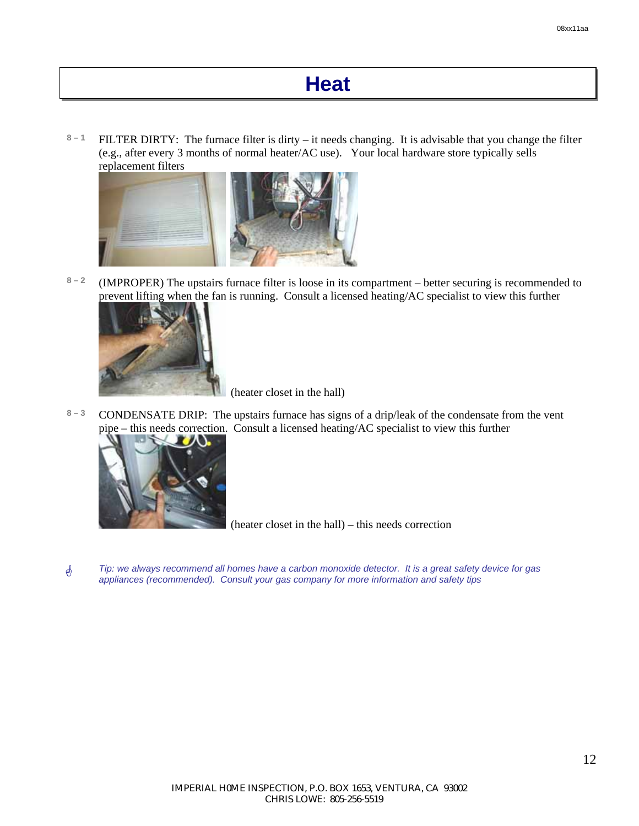# **Heat**

8<sup>-1</sup> FILTER DIRTY: The furnace filter is dirty – it needs changing. It is advisable that you change the filter (e.g., after every 3 months of normal heater/AC use). Your local hardware store typically sells replacement filters



**8 – 2** (IMPROPER) The upstairs furnace filter is loose in its compartment – better securing is recommended to prevent lifting when the fan is running. Consult a licensed heating/AC specialist to view this further



(heater closet in the hall)

8-3 CONDENSATE DRIP: The upstairs furnace has signs of a drip/leak of the condensate from the vent pipe – this needs correction. Consult a licensed heating/AC specialist to view this further



(heater closet in the hall) – this needs correction

\* *Tip: we always recommend all homes have a carbon monoxide detector. It is a great safety device for gas appliances (recommended). Consult your gas company for more information and safety tips*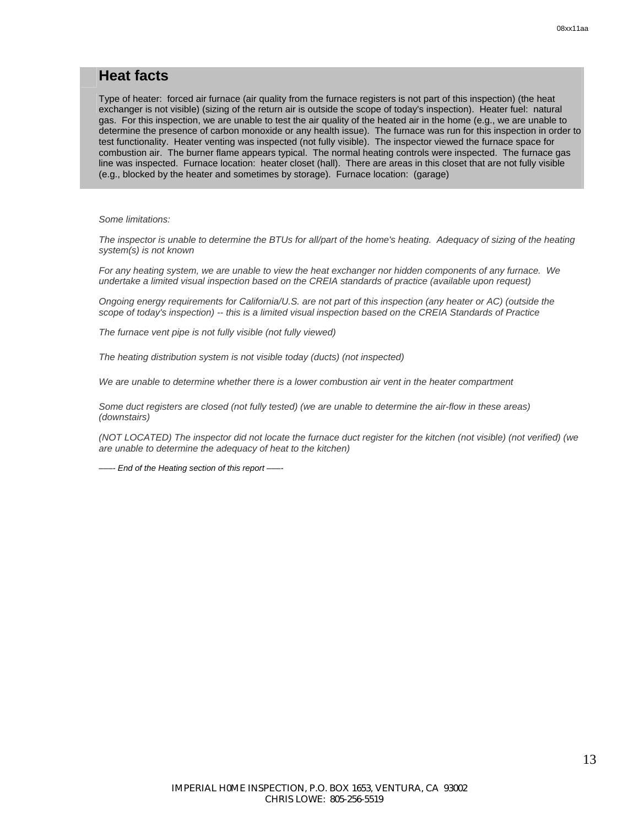#### **Heat facts**

Type of heater: forced air furnace (air quality from the furnace registers is not part of this inspection) (the heat exchanger is not visible) (sizing of the return air is outside the scope of today's inspection). Heater fuel: natural gas. For this inspection, we are unable to test the air quality of the heated air in the home (e.g., we are unable to determine the presence of carbon monoxide or any health issue). The furnace was run for this inspection in order to test functionality. Heater venting was inspected (not fully visible). The inspector viewed the furnace space for combustion air. The burner flame appears typical. The normal heating controls were inspected. The furnace gas line was inspected. Furnace location: heater closet (hall). There are areas in this closet that are not fully visible (e.g., blocked by the heater and sometimes by storage). Furnace location: (garage)

*Some limitations:* 

*The inspector is unable to determine the BTUs for all/part of the home's heating. Adequacy of sizing of the heating system(s) is not known* 

*For any heating system, we are unable to view the heat exchanger nor hidden components of any furnace. We undertake a limited visual inspection based on the CREIA standards of practice (available upon request)* 

*Ongoing energy requirements for California/U.S. are not part of this inspection (any heater or AC) (outside the scope of today's inspection) -- this is a limited visual inspection based on the CREIA Standards of Practice* 

*The furnace vent pipe is not fully visible (not fully viewed)* 

*The heating distribution system is not visible today (ducts) (not inspected)* 

*We are unable to determine whether there is a lower combustion air vent in the heater compartment* 

*Some duct registers are closed (not fully tested) (we are unable to determine the air-flow in these areas) (downstairs)* 

*(NOT LOCATED) The inspector did not locate the furnace duct register for the kitchen (not visible) (not verified) (we are unable to determine the adequacy of heat to the kitchen)* 

*–––- End of the Heating section of this report –––-*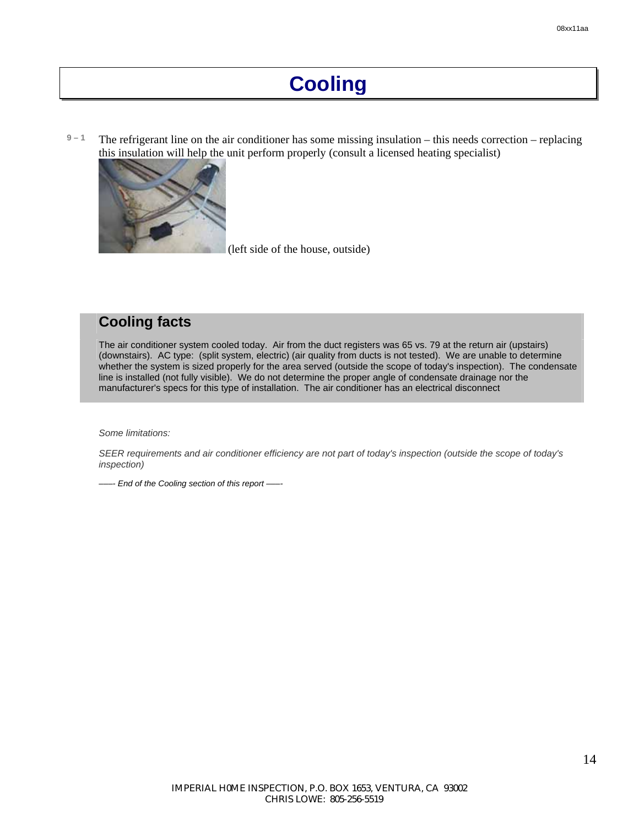# **Cooling**

**9 – 1** The refrigerant line on the air conditioner has some missing insulation – this needs correction – replacing this insulation will help the unit perform properly (consult a licensed heating specialist)



(left side of the house, outside)

### **Cooling facts**

The air conditioner system cooled today. Air from the duct registers was 65 vs. 79 at the return air (upstairs) (downstairs). AC type: (split system, electric) (air quality from ducts is not tested). We are unable to determine whether the system is sized properly for the area served (outside the scope of today's inspection). The condensate line is installed (not fully visible). We do not determine the proper angle of condensate drainage nor the manufacturer's specs for this type of installation. The air conditioner has an electrical disconnect

*Some limitations:* 

*SEER requirements and air conditioner efficiency are not part of today's inspection (outside the scope of today's inspection)* 

*–––- End of the Cooling section of this report –––-*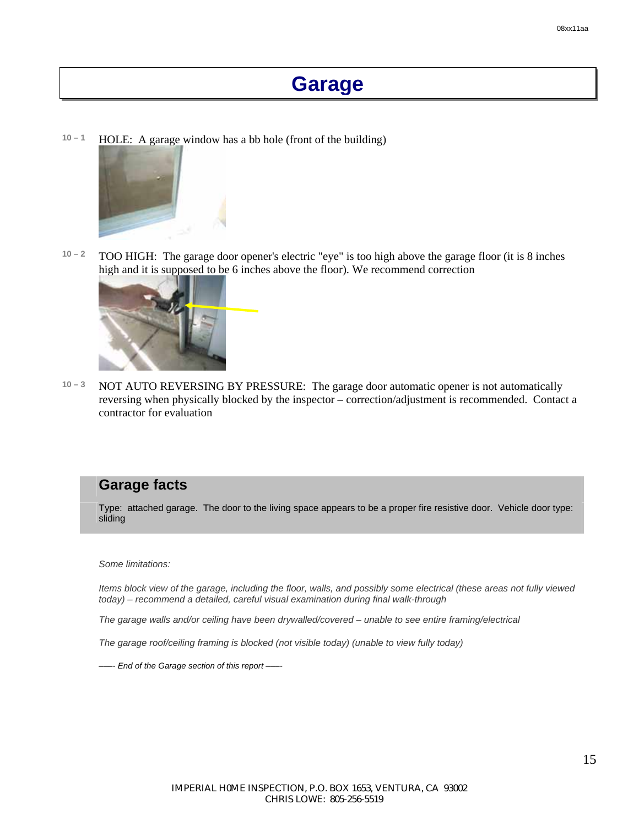## **Garage**

10 – 1 **HOLE:** A garage window has a bb hole (front of the building)



**10 – 2** TOO HIGH: The garage door opener's electric "eye" is too high above the garage floor (it is 8 inches high and it is supposed to be 6 inches above the floor). We recommend correction



**10 – 3** NOT AUTO REVERSING BY PRESSURE: The garage door automatic opener is not automatically reversing when physically blocked by the inspector – correction/adjustment is recommended. Contact a contractor for evaluation

#### **Garage facts**

Type: attached garage. The door to the living space appears to be a proper fire resistive door. Vehicle door type: sliding

*Some limitations:* 

*Items block view of the garage, including the floor, walls, and possibly some electrical (these areas not fully viewed today) – recommend a detailed, careful visual examination during final walk-through* 

*The garage walls and/or ceiling have been drywalled/covered – unable to see entire framing/electrical* 

*The garage roof/ceiling framing is blocked (not visible today) (unable to view fully today)* 

*–––- End of the Garage section of this report –––-*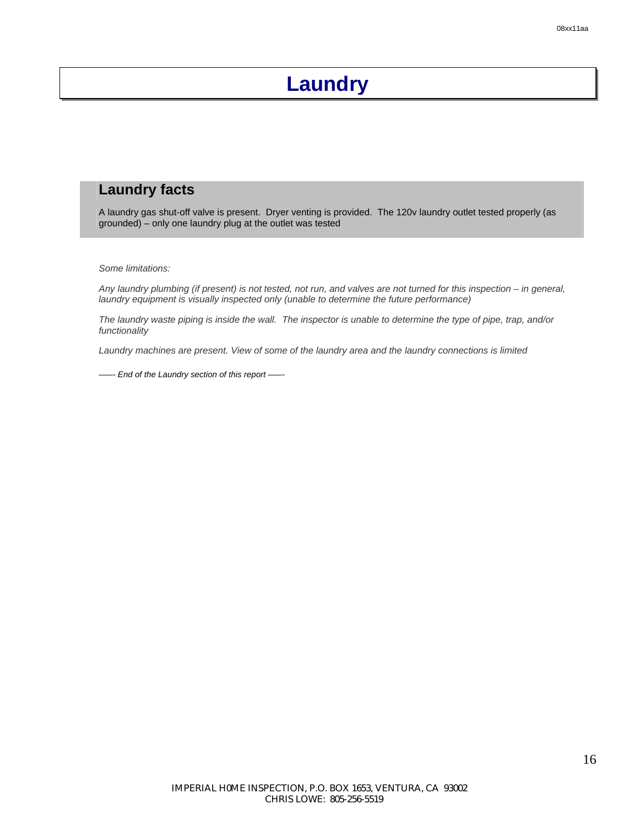# **Laundry**

### **Laundry facts**

A laundry gas shut-off valve is present. Dryer venting is provided. The 120v laundry outlet tested properly (as grounded) – only one laundry plug at the outlet was tested

*Some limitations:* 

*Any laundry plumbing (if present) is not tested, not run, and valves are not turned for this inspection – in general, laundry equipment is visually inspected only (unable to determine the future performance)* 

*The laundry waste piping is inside the wall. The inspector is unable to determine the type of pipe, trap, and/or functionality* 

*Laundry machines are present. View of some of the laundry area and the laundry connections is limited* 

*–––- End of the Laundry section of this report –––-*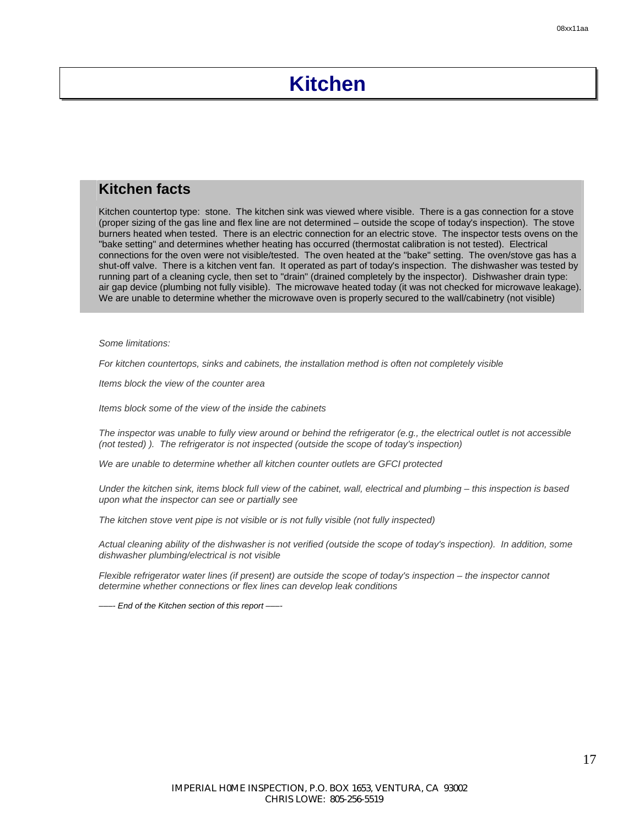## **Kitchen**

### **Kitchen facts**

Kitchen countertop type: stone. The kitchen sink was viewed where visible. There is a gas connection for a stove (proper sizing of the gas line and flex line are not determined – outside the scope of today's inspection). The stove burners heated when tested. There is an electric connection for an electric stove. The inspector tests ovens on the "bake setting" and determines whether heating has occurred (thermostat calibration is not tested). Electrical connections for the oven were not visible/tested. The oven heated at the "bake" setting. The oven/stove gas has a shut-off valve. There is a kitchen vent fan. It operated as part of today's inspection. The dishwasher was tested by running part of a cleaning cycle, then set to "drain" (drained completely by the inspector). Dishwasher drain type: air gap device (plumbing not fully visible). The microwave heated today (it was not checked for microwave leakage). We are unable to determine whether the microwave oven is properly secured to the wall/cabinetry (not visible)

*Some limitations:* 

*For kitchen countertops, sinks and cabinets, the installation method is often not completely visible* 

*Items block the view of the counter area* 

*Items block some of the view of the inside the cabinets* 

*The inspector was unable to fully view around or behind the refrigerator (e.g., the electrical outlet is not accessible (not tested) ). The refrigerator is not inspected (outside the scope of today's inspection)* 

*We are unable to determine whether all kitchen counter outlets are GFCI protected* 

*Under the kitchen sink, items block full view of the cabinet, wall, electrical and plumbing – this inspection is based upon what the inspector can see or partially see* 

*The kitchen stove vent pipe is not visible or is not fully visible (not fully inspected)* 

*Actual cleaning ability of the dishwasher is not verified (outside the scope of today's inspection). In addition, some dishwasher plumbing/electrical is not visible* 

*Flexible refrigerator water lines (if present) are outside the scope of today's inspection – the inspector cannot determine whether connections or flex lines can develop leak conditions* 

 $-$  *End of the Kitchen section of this report* –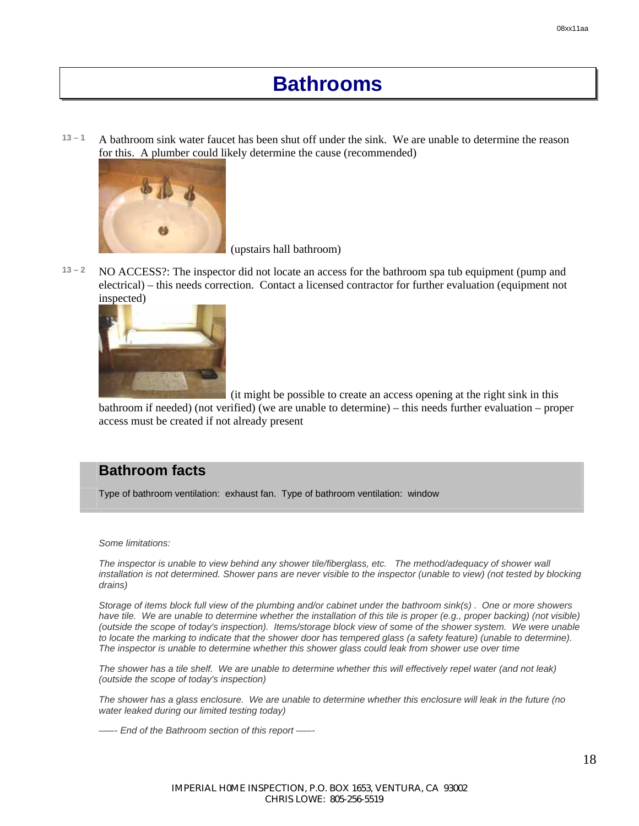## **Bathrooms**

**13 – 1** A bathroom sink water faucet has been shut off under the sink. We are unable to determine the reason for this. A plumber could likely determine the cause (recommended)



(upstairs hall bathroom)

**13 – 2** NO ACCESS?: The inspector did not locate an access for the bathroom spa tub equipment (pump and electrical) – this needs correction. Contact a licensed contractor for further evaluation (equipment not inspected)



 (it might be possible to create an access opening at the right sink in this bathroom if needed) (not verified) (we are unable to determine) – this needs further evaluation – proper access must be created if not already present

### **Bathroom facts**

Type of bathroom ventilation: exhaust fan. Type of bathroom ventilation: window

*Some limitations:* 

*The inspector is unable to view behind any shower tile/fiberglass, etc. The method/adequacy of shower wall*  installation is not determined. Shower pans are never visible to the inspector (unable to view) (not tested by blocking *drains)* 

*Storage of items block full view of the plumbing and/or cabinet under the bathroom sink(s) . One or more showers*  have tile. We are unable to determine whether the installation of this tile is proper (e.g., proper backing) (not visible) *(outside the scope of today's inspection). Items/storage block view of some of the shower system. We were unable to locate the marking to indicate that the shower door has tempered glass (a safety feature) (unable to determine). The inspector is unable to determine whether this shower glass could leak from shower use over time* 

*The shower has a tile shelf. We are unable to determine whether this will effectively repel water (and not leak) (outside the scope of today's inspection)* 

*The shower has a glass enclosure. We are unable to determine whether this enclosure will leak in the future (no water leaked during our limited testing today)* 

*–––- End of the Bathroom section of this report –––-*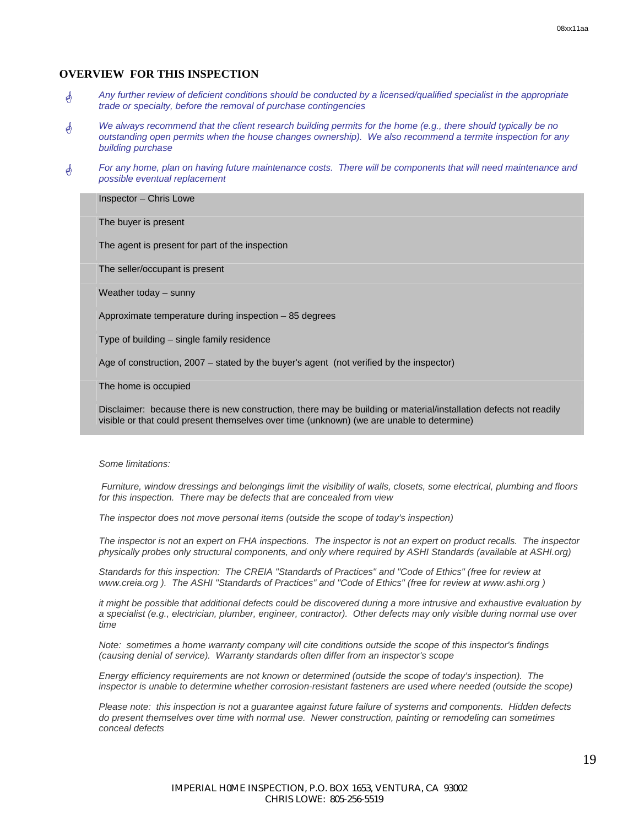#### **OVERVIEW FOR THIS INSPECTION**

- \* *Any further review of deficient conditions should be conducted by a licensed/qualified specialist in the appropriate trade or specialty, before the removal of purchase contingencies*
- \* *We always recommend that the client research building permits for the home (e.g., there should typically be no outstanding open permits when the house changes ownership). We also recommend a termite inspection for any building purchase*
- \* *For any home, plan on having future maintenance costs. There will be components that will need maintenance and possible eventual replacement*

#### Inspector – Chris Lowe

The buyer is present

The agent is present for part of the inspection

The seller/occupant is present

Weather today – sunny

Approximate temperature during inspection – 85 degrees

Type of building – single family residence

Age of construction, 2007 – stated by the buyer's agent (not verified by the inspector)

The home is occupied

Disclaimer: because there is new construction, there may be building or material/installation defects not readily visible or that could present themselves over time (unknown) (we are unable to determine)

#### *Some limitations:*

 *Furniture, window dressings and belongings limit the visibility of walls, closets, some electrical, plumbing and floors for this inspection. There may be defects that are concealed from view* 

*The inspector does not move personal items (outside the scope of today's inspection)* 

*The inspector is not an expert on FHA inspections. The inspector is not an expert on product recalls. The inspector physically probes only structural components, and only where required by ASHI Standards (available at ASHI.org)* 

*Standards for this inspection: The CREIA "Standards of Practices" and "Code of Ethics" (free for review at www.creia.org ). The ASHI "Standards of Practices" and "Code of Ethics" (free for review at www.ashi.org )* 

*it might be possible that additional defects could be discovered during a more intrusive and exhaustive evaluation by a specialist (e.g., electrician, plumber, engineer, contractor). Other defects may only visible during normal use over time* 

*Note: sometimes a home warranty company will cite conditions outside the scope of this inspector's findings (causing denial of service). Warranty standards often differ from an inspector's scope* 

*Energy efficiency requirements are not known or determined (outside the scope of today's inspection). The inspector is unable to determine whether corrosion-resistant fasteners are used where needed (outside the scope)* 

*Please note: this inspection is not a guarantee against future failure of systems and components. Hidden defects do present themselves over time with normal use. Newer construction, painting or remodeling can sometimes conceal defects*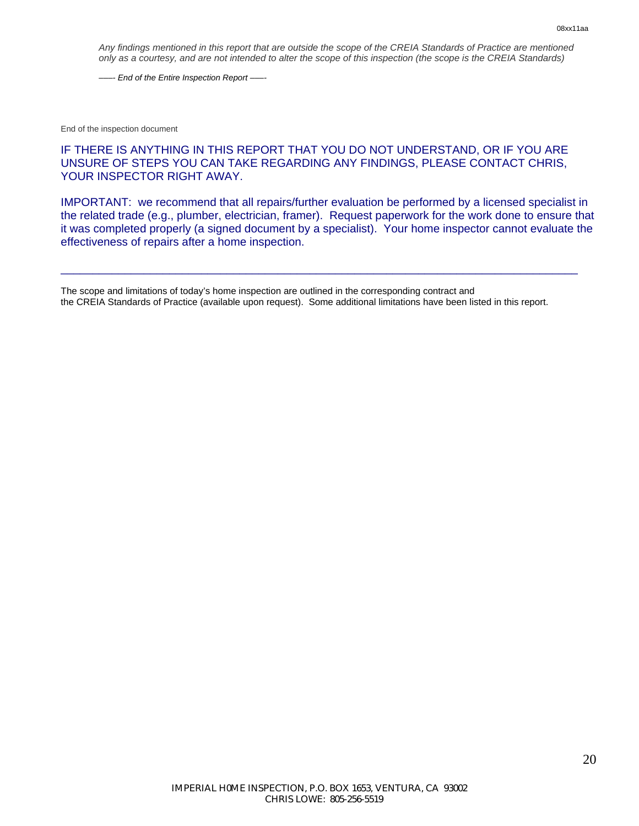*Any findings mentioned in this report that are outside the scope of the CREIA Standards of Practice are mentioned only as a courtesy, and are not intended to alter the scope of this inspection (the scope is the CREIA Standards)* 

*–––- End of the Entire Inspection Report –––-* 

End of the inspection document

#### IF THERE IS ANYTHING IN THIS REPORT THAT YOU DO NOT UNDERSTAND, OR IF YOU ARE UNSURE OF STEPS YOU CAN TAKE REGARDING ANY FINDINGS, PLEASE CONTACT CHRIS, YOUR INSPECTOR RIGHT AWAY.

IMPORTANT: we recommend that all repairs/further evaluation be performed by a licensed specialist in the related trade (e.g., plumber, electrician, framer). Request paperwork for the work done to ensure that it was completed properly (a signed document by a specialist). Your home inspector cannot evaluate the effectiveness of repairs after a home inspection.

\_\_\_\_\_\_\_\_\_\_\_\_\_\_\_\_\_\_\_\_\_\_\_\_\_\_\_\_\_\_\_\_\_\_\_\_\_\_\_\_\_\_\_\_\_\_\_\_\_\_\_\_\_\_\_\_\_\_\_\_\_\_\_\_\_\_\_\_\_\_\_\_\_\_\_\_\_\_\_\_\_

The scope and limitations of today's home inspection are outlined in the corresponding contract and the CREIA Standards of Practice (available upon request). Some additional limitations have been listed in this report.